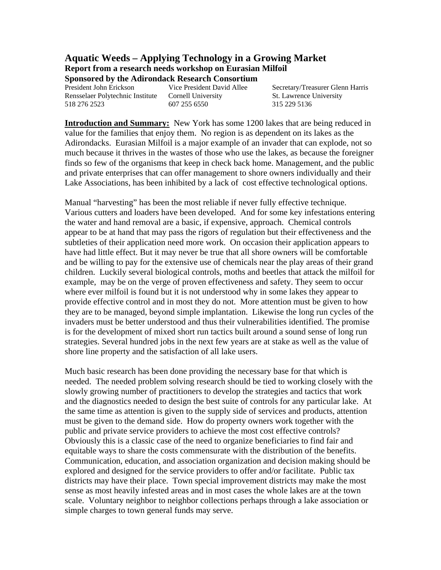# **Aquatic Weeds – Applying Technology in a Growing Market Report from a research needs workshop on Eurasian Milfoil**

**Sponsored by the Adirondack Research Consortium** 

Rensselaer Polytechnic Institute Cornell University St. Lawrence University 518 276 2523 607 255 6550 315 229 5136

President John Erickson Vice President David Allee Secretary/Treasurer Glenn Harris

**Introduction and Summary:** New York has some 1200 lakes that are being reduced in value for the families that enjoy them. No region is as dependent on its lakes as the Adirondacks. Eurasian Milfoil is a major example of an invader that can explode, not so much because it thrives in the wastes of those who use the lakes, as because the foreigner finds so few of the organisms that keep in check back home. Management, and the public and private enterprises that can offer management to shore owners individually and their Lake Associations, has been inhibited by a lack of cost effective technological options.

Manual "harvesting" has been the most reliable if never fully effective technique. Various cutters and loaders have been developed. And for some key infestations entering the water and hand removal are a basic, if expensive, approach. Chemical controls appear to be at hand that may pass the rigors of regulation but their effectiveness and the subtleties of their application need more work. On occasion their application appears to have had little effect. But it may never be true that all shore owners will be comfortable and be willing to pay for the extensive use of chemicals near the play areas of their grand children. Luckily several biological controls, moths and beetles that attack the milfoil for example, may be on the verge of proven effectiveness and safety. They seem to occur where ever milfoil is found but it is not understood why in some lakes they appear to provide effective control and in most they do not. More attention must be given to how they are to be managed, beyond simple implantation. Likewise the long run cycles of the invaders must be better understood and thus their vulnerabilities identified. The promise is for the development of mixed short run tactics built around a sound sense of long run strategies. Several hundred jobs in the next few years are at stake as well as the value of shore line property and the satisfaction of all lake users.

Much basic research has been done providing the necessary base for that which is needed. The needed problem solving research should be tied to working closely with the slowly growing number of practitioners to develop the strategies and tactics that work and the diagnostics needed to design the best suite of controls for any particular lake. At the same time as attention is given to the supply side of services and products, attention must be given to the demand side. How do property owners work together with the public and private service providers to achieve the most cost effective controls? Obviously this is a classic case of the need to organize beneficiaries to find fair and equitable ways to share the costs commensurate with the distribution of the benefits. Communication, education, and association organization and decision making should be explored and designed for the service providers to offer and/or facilitate. Public tax districts may have their place. Town special improvement districts may make the most sense as most heavily infested areas and in most cases the whole lakes are at the town scale. Voluntary neighbor to neighbor collections perhaps through a lake association or simple charges to town general funds may serve.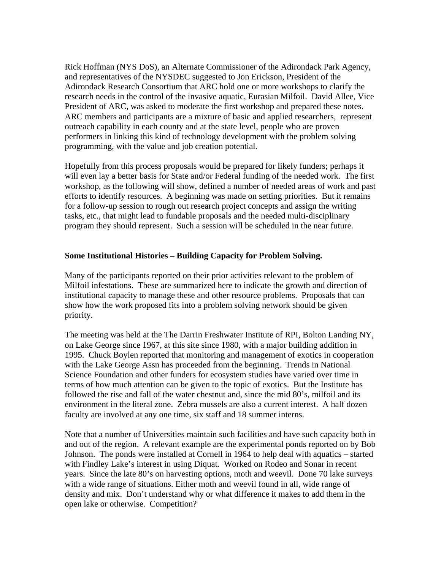Rick Hoffman (NYS DoS), an Alternate Commissioner of the Adirondack Park Agency, and representatives of the NYSDEC suggested to Jon Erickson, President of the Adirondack Research Consortium that ARC hold one or more workshops to clarify the research needs in the control of the invasive aquatic, Eurasian Milfoil. David Allee, Vice President of ARC, was asked to moderate the first workshop and prepared these notes. ARC members and participants are a mixture of basic and applied researchers, represent outreach capability in each county and at the state level, people who are proven performers in linking this kind of technology development with the problem solving programming, with the value and job creation potential.

Hopefully from this process proposals would be prepared for likely funders; perhaps it will even lay a better basis for State and/or Federal funding of the needed work. The first workshop, as the following will show, defined a number of needed areas of work and past efforts to identify resources. A beginning was made on setting priorities. But it remains for a follow-up session to rough out research project concepts and assign the writing tasks, etc., that might lead to fundable proposals and the needed multi-disciplinary program they should represent. Such a session will be scheduled in the near future.

### **Some Institutional Histories – Building Capacity for Problem Solving.**

Many of the participants reported on their prior activities relevant to the problem of Milfoil infestations. These are summarized here to indicate the growth and direction of institutional capacity to manage these and other resource problems. Proposals that can show how the work proposed fits into a problem solving network should be given priority.

The meeting was held at the The Darrin Freshwater Institute of RPI, Bolton Landing NY, on Lake George since 1967, at this site since 1980, with a major building addition in 1995. Chuck Boylen reported that monitoring and management of exotics in cooperation with the Lake George Assn has proceeded from the beginning. Trends in National Science Foundation and other funders for ecosystem studies have varied over time in terms of how much attention can be given to the topic of exotics. But the Institute has followed the rise and fall of the water chestnut and, since the mid 80's, milfoil and its environment in the literal zone. Zebra mussels are also a current interest. A half dozen faculty are involved at any one time, six staff and 18 summer interns.

Note that a number of Universities maintain such facilities and have such capacity both in and out of the region. A relevant example are the experimental ponds reported on by Bob Johnson. The ponds were installed at Cornell in 1964 to help deal with aquatics – started with Findley Lake's interest in using Diquat. Worked on Rodeo and Sonar in recent years. Since the late 80's on harvesting options, moth and weevil. Done 70 lake surveys with a wide range of situations. Either moth and weevil found in all, wide range of density and mix. Don't understand why or what difference it makes to add them in the open lake or otherwise. Competition?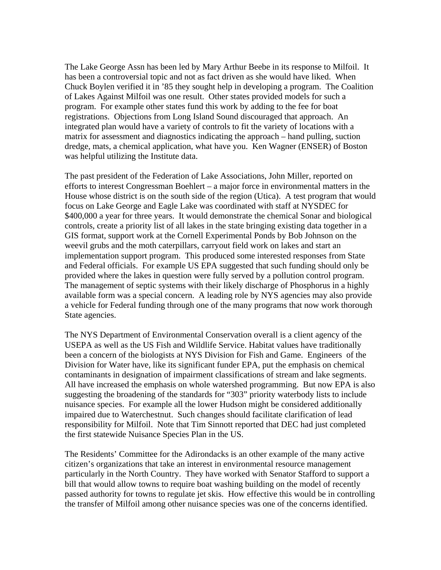The Lake George Assn has been led by Mary Arthur Beebe in its response to Milfoil. It has been a controversial topic and not as fact driven as she would have liked. When Chuck Boylen verified it in '85 they sought help in developing a program. The Coalition of Lakes Against Milfoil was one result. Other states provided models for such a program. For example other states fund this work by adding to the fee for boat registrations. Objections from Long Island Sound discouraged that approach. An integrated plan would have a variety of controls to fit the variety of locations with a matrix for assessment and diagnostics indicating the approach – hand pulling, suction dredge, mats, a chemical application, what have you. Ken Wagner (ENSER) of Boston was helpful utilizing the Institute data.

The past president of the Federation of Lake Associations, John Miller, reported on efforts to interest Congressman Boehlert – a major force in environmental matters in the House whose district is on the south side of the region (Utica). A test program that would focus on Lake George and Eagle Lake was coordinated with staff at NYSDEC for \$400,000 a year for three years. It would demonstrate the chemical Sonar and biological controls, create a priority list of all lakes in the state bringing existing data together in a GIS format, support work at the Cornell Experimental Ponds by Bob Johnson on the weevil grubs and the moth caterpillars, carryout field work on lakes and start an implementation support program. This produced some interested responses from State and Federal officials. For example US EPA suggested that such funding should only be provided where the lakes in question were fully served by a pollution control program. The management of septic systems with their likely discharge of Phosphorus in a highly available form was a special concern. A leading role by NYS agencies may also provide a vehicle for Federal funding through one of the many programs that now work thorough State agencies.

The NYS Department of Environmental Conservation overall is a client agency of the USEPA as well as the US Fish and Wildlife Service. Habitat values have traditionally been a concern of the biologists at NYS Division for Fish and Game. Engineers of the Division for Water have, like its significant funder EPA, put the emphasis on chemical contaminants in designation of impairment classifications of stream and lake segments. All have increased the emphasis on whole watershed programming. But now EPA is also suggesting the broadening of the standards for "303" priority waterbody lists to include nuisance species. For example all the lower Hudson might be considered additionally impaired due to Waterchestnut. Such changes should facilitate clarification of lead responsibility for Milfoil. Note that Tim Sinnott reported that DEC had just completed the first statewide Nuisance Species Plan in the US.

The Residents' Committee for the Adirondacks is an other example of the many active citizen's organizations that take an interest in environmental resource management particularly in the North Country. They have worked with Senator Stafford to support a bill that would allow towns to require boat washing building on the model of recently passed authority for towns to regulate jet skis. How effective this would be in controlling the transfer of Milfoil among other nuisance species was one of the concerns identified.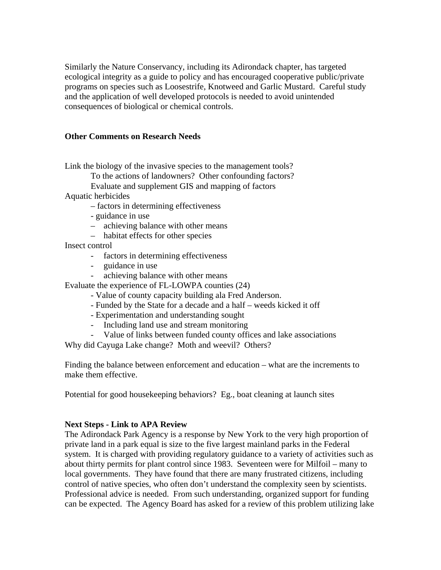Similarly the Nature Conservancy, including its Adirondack chapter, has targeted ecological integrity as a guide to policy and has encouraged cooperative public/private programs on species such as Loosestrife, Knotweed and Garlic Mustard. Careful study and the application of well developed protocols is needed to avoid unintended consequences of biological or chemical controls.

#### **Other Comments on Research Needs**

Link the biology of the invasive species to the management tools?

To the actions of landowners? Other confounding factors?

Evaluate and supplement GIS and mapping of factors

Aquatic herbicides

- factors in determining effectiveness
- guidance in use
- achieving balance with other means
- habitat effects for other species

Insect control

- factors in determining effectiveness
- guidance in use
- achieving balance with other means

Evaluate the experience of FL-LOWPA counties (24)

- Value of county capacity building ala Fred Anderson.
- Funded by the State for a decade and a half weeds kicked it off
- Experimentation and understanding sought
- Including land use and stream monitoring
- Value of links between funded county offices and lake associations

Why did Cayuga Lake change? Moth and weevil? Others?

Finding the balance between enforcement and education – what are the increments to make them effective.

Potential for good housekeeping behaviors? Eg., boat cleaning at launch sites

#### **Next Steps - Link to APA Review**

The Adirondack Park Agency is a response by New York to the very high proportion of private land in a park equal is size to the five largest mainland parks in the Federal system. It is charged with providing regulatory guidance to a variety of activities such as about thirty permits for plant control since 1983. Seventeen were for Milfoil – many to local governments. They have found that there are many frustrated citizens, including control of native species, who often don't understand the complexity seen by scientists. Professional advice is needed. From such understanding, organized support for funding can be expected. The Agency Board has asked for a review of this problem utilizing lake